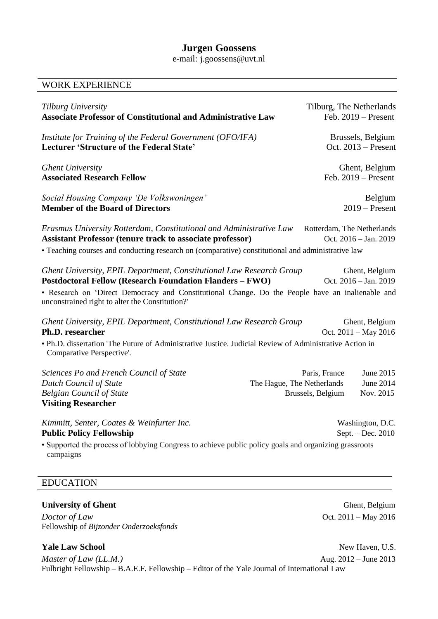# **Jurgen Goossens**

e-mail: j.goossens@uvt.nl

# WORK EXPERIENCE

| Tilburg University<br><b>Associate Professor of Constitutional and Administrative Law</b>                                                                                                                                                                                                      | Tilburg, The Netherlands<br>Feb. $2019$ – Present                         |
|------------------------------------------------------------------------------------------------------------------------------------------------------------------------------------------------------------------------------------------------------------------------------------------------|---------------------------------------------------------------------------|
| Institute for Training of the Federal Government (OFO/IFA)<br>Lecturer 'Structure of the Federal State'                                                                                                                                                                                        | Brussels, Belgium<br>Oct. $2013$ – Present                                |
| <b>Ghent University</b><br><b>Associated Research Fellow</b>                                                                                                                                                                                                                                   | Ghent, Belgium<br>Feb. $2019$ – Present                                   |
| Social Housing Company 'De Volkswoningen'<br><b>Member of the Board of Directors</b>                                                                                                                                                                                                           | Belgium<br>$2019$ – Present                                               |
| Erasmus University Rotterdam, Constitutional and Administrative Law<br><b>Assistant Professor (tenure track to associate professor)</b><br>• Teaching courses and conducting research on (comparative) constitutional and administrative law                                                   | Rotterdam, The Netherlands<br>Oct. 2016 - Jan. 2019                       |
| Ghent University, EPIL Department, Constitutional Law Research Group<br><b>Postdoctoral Fellow (Research Foundation Flanders - FWO)</b><br>• Research on 'Direct Democracy and Constitutional Change. Do the People have an inalienable and<br>unconstrained right to alter the Constitution?' | Ghent, Belgium<br>Oct. 2016 - Jan. 2019                                   |
| Ghent University, EPIL Department, Constitutional Law Research Group<br><b>Ph.D.</b> researcher<br>• Ph.D. dissertation 'The Future of Administrative Justice. Judicial Review of Administrative Action in<br>Comparative Perspective'.                                                        | Ghent, Belgium<br>Oct. $2011 - May 2016$                                  |
| Sciences Po and French Council of State<br><b>Dutch Council of State</b><br>The Hague, The Netherlands<br><b>Belgian Council of State</b><br><b>Visiting Researcher</b>                                                                                                                        | June 2015<br>Paris, France<br>June 2014<br>Brussels, Belgium<br>Nov. 2015 |
| Kimmitt, Senter, Coates & Weinfurter Inc.<br><b>Public Policy Fellowship</b><br>• Supported the process of lobbying Congress to achieve public policy goals and organizing grassroots<br>campaigns                                                                                             | Washington, D.C.<br>Sept. $-$ Dec. 2010                                   |
| <b>EDUCATION</b>                                                                                                                                                                                                                                                                               |                                                                           |
| <b>University of Ghent</b>                                                                                                                                                                                                                                                                     | Ghent, Belgium                                                            |

*Doctor of Law* Oct. 2011 – May 2016 Fellowship of *Bijzonder Onderzoeksfonds*

**Yale Law School** New Haven, U.S. *Master of Law (LL.M.)* Aug. 2012 – June 2013 Fulbright Fellowship – B.A.E.F. Fellowship – Editor of the Yale Journal of International Law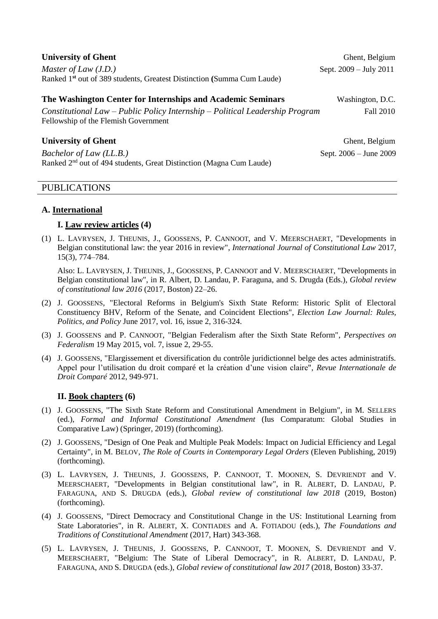| <b>University of Ghent</b>                                                         | Ghent, Belgium           |
|------------------------------------------------------------------------------------|--------------------------|
| <i>Master of Law</i> $(J.D.)$                                                      | Sept. $2009 - July 2011$ |
| Ranked 1 <sup>st</sup> out of 389 students, Greatest Distinction (Summa Cum Laude) |                          |
| The Washington Center for Internships and Academic Seminars                        | Washington, D.C.         |
| Constitutional Law – Public Policy Internship – Political Leadership Program       | Fall 2010                |
| Fellowship of the Flemish Government                                               |                          |
| <b>University of Ghent</b>                                                         | Ghent, Belgium           |
| Bachelor of Law (LL.B.)                                                            | Sept. 2006 - June 2009   |
| Ranked 2 <sup>nd</sup> out of 494 students, Great Distinction (Magna Cum Laude)    |                          |

# PUBLICATIONS

#### **A. International**

#### **I. Law review articles (4)**

(1) L. LAVRYSEN, J. THEUNIS, J., GOOSSENS, P. CANNOOT, and V. MEERSCHAERT, "Developments in Belgian constitutional law: the year 2016 in review", *International Journal of Constitutional Law* 2017, 15(3), 774–784.

Also: L. LAVRYSEN, J. THEUNIS, J., GOOSSENS, P. CANNOOT and V. MEERSCHAERT, "Developments in Belgian constitutional law", in R. Albert, D. Landau, P. Faraguna, and S. Drugda (Eds.), *Global review of constitutional law 2016* (2017, Boston) 22–26.

- (2) J. GOOSSENS, "Electoral Reforms in Belgium's Sixth State Reform: Historic Split of Electoral Constituency BHV, Reform of the Senate, and Coincident Elections", *Election Law Journal: Rules, Politics, and Policy* June 2017, vol. 16, issue 2, 316-324.
- (3) J. GOOSSENS and P. CANNOOT, "Belgian Federalism after the Sixth State Reform", *Perspectives on Federalism* 19 May 2015, vol. 7, issue 2, 29-55.
- (4) J. GOOSSENS, "Elargissement et diversification du contrôle juridictionnel belge des actes administratifs. Appel pour l'utilisation du droit comparé et la création d'une vision claire", *Revue Internationale de Droit Comparé* 2012, 949-971.

#### **II. Book chapters (6)**

- (1) J. GOOSSENS, "The Sixth State Reform and Constitutional Amendment in Belgium", in M. SELLERS (ed.), *Formal and Informal Constitutional Amendment* (Ius Comparatum: Global Studies in Comparative Law) (Springer, 2019) (forthcoming).
- (2) J. GOOSSENS, "Design of One Peak and Multiple Peak Models: Impact on Judicial Efficiency and Legal Certainty", in M. BELOV, *The Role of Courts in Contemporary Legal Orders* (Eleven Publishing, 2019) (forthcoming).
- (3) L. LAVRYSEN, J. THEUNIS, J. GOOSSENS, P. CANNOOT, T. MOONEN, S. DEVRIENDT and V. MEERSCHAERT, "Developments in Belgian constitutional law", in R. ALBERT, D. LANDAU, P. FARAGUNA, AND S. DRUGDA (eds.), *Global review of constitutional law 2018* (2019, Boston) (forthcoming).
- (4) J. GOOSSENS, "Direct Democracy and Constitutional Change in the US: Institutional Learning from State Laboratories", in R. ALBERT, X. CONTIADES and A. FOTIADOU (eds.), *The Foundations and Traditions of Constitutional Amendment* (2017, Hart) 343-368.
- (5) L. LAVRYSEN, J. THEUNIS, J. GOOSSENS, P. CANNOOT, T. MOONEN, S. DEVRIENDT and V. MEERSCHAERT, "Belgium: The State of Liberal Democracy", in R. ALBERT, D. LANDAU, P. FARAGUNA, AND S. DRUGDA (eds.), *Global review of constitutional law 2017* (2018, Boston) 33-37.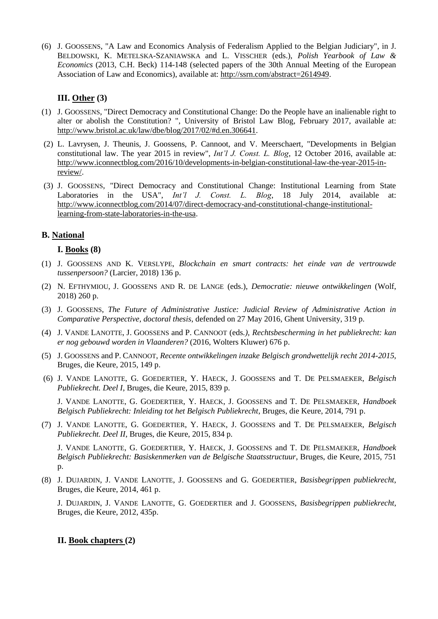(6) J. GOOSSENS, "A Law and Economics Analysis of Federalism Applied to the Belgian Judiciary", in J. BELDOWSKI, K. METELSKA-SZANIAWSKA and L. VISSCHER (eds.), *Polish Yearbook of Law & Economics* (2013*,* C.H. Beck) 114-148 (selected papers of the 30th Annual Meeting of the European Association of Law and Economics), available at: [http://ssrn.com/abstract=2614949.](http://ssrn.com/abstract=2614949)

# **III. Other (3)**

- (1) J. GOOSSENS, "Direct Democracy and Constitutional Change: Do the People have an inalienable right to alter or abolish the Constitution? ", University of Bristol Law Blog, February 2017, available at: [http://www.bristol.ac.uk/law/dbe/blog/2017/02/#d.en.306641.](http://www.bristol.ac.uk/law/dbe/blog/2017/02/#d.en.306641)
- (2) L. Lavrysen, J. Theunis, J. Goossens, P. Cannoot, and V. Meerschaert, "Developments in Belgian constitutional law. The year 2015 in review", *Int'l J. Const. L. Blog*, 12 October 2016, available at: [http://www.iconnectblog.com/2016/10/developments-in-belgian-constitutional-law-the-year-2015-in](http://www.iconnectblog.com/2016/10/developments-in-belgian-constitutional-law-the-year-2015-in-review/)[review/.](http://www.iconnectblog.com/2016/10/developments-in-belgian-constitutional-law-the-year-2015-in-review/)
- (3) J. GOOSSENS, "Direct Democracy and Constitutional Change: Institutional Learning from State Laboratories in the USA", *Int'l J. Const. L. Blog*, 18 July 2014, available at: [http://www.iconnectblog.com/2014/07/direct-democracy-and-constitutional-change-institutional](http://www.iconnectblog.com/2014/07/direct-democracy-and-constitutional-change-institutional-learning-from-state-laboratories-in-the-usa)[learning-from-state-laboratories-in-the-usa.](http://www.iconnectblog.com/2014/07/direct-democracy-and-constitutional-change-institutional-learning-from-state-laboratories-in-the-usa)

# **B. National**

# **I. Books (8)**

- (1) J. GOOSSENS AND K. VERSLYPE, *Blockchain en smart contracts: het einde van de vertrouwde tussenpersoon?* (Larcier, 2018) 136 p.
- (2) N. EFTHYMIOU, J. GOOSSENS AND R. DE LANGE (eds.), *Democratie: nieuwe ontwikkelingen* (Wolf, 2018) 260 p.
- (3) J. GOOSSENS, *The Future of Administrative Justice: Judicial Review of Administrative Action in Comparative Perspective, doctoral thesis*, defended on 27 May 2016, Ghent University, 319 p.
- (4) J. VANDE LANOTTE, J. GOOSSENS and P. CANNOOT (eds*.), Rechtsbescherming in het publiekrecht: kan er nog gebouwd worden in Vlaanderen?* (2016, Wolters Kluwer) 676 p.
- (5) J. GOOSSENS and P. CANNOOT, *Recente ontwikkelingen inzake Belgisch grondwettelijk recht 2014-2015*, Bruges, die Keure, 2015, 149 p.
- (6) J. VANDE LANOTTE, G. GOEDERTIER, Y. HAECK, J. GOOSSENS and T. DE PELSMAEKER, *Belgisch Publiekrecht. Deel I*, Bruges, die Keure, 2015, 839 p.

J. VANDE LANOTTE, G. GOEDERTIER, Y. HAECK, J. GOOSSENS and T. DE PELSMAEKER, *Handboek Belgisch Publiekrecht: Inleiding tot het Belgisch Publiekrecht*, Bruges, die Keure, 2014, 791 p.

(7) J. VANDE LANOTTE, G. GOEDERTIER, Y. HAECK, J. GOOSSENS and T. DE PELSMAEKER, *Belgisch Publiekrecht. Deel II*, Bruges, die Keure, 2015, 834 p.

J. VANDE LANOTTE, G. GOEDERTIER, Y. HAECK, J. GOOSSENS and T. DE PELSMAEKER, *Handboek Belgisch Publiekrecht: Basiskenmerken van de Belgische Staatsstructuur*, Bruges, die Keure, 2015, 751 p.

(8) J. DUJARDIN, J. VANDE LANOTTE, J. GOOSSENS and G. GOEDERTIER, *Basisbegrippen publiekrecht*, Bruges, die Keure, 2014, 461 p.

J. DUJARDIN, J. VANDE LANOTTE, G. GOEDERTIER and J. GOOSSENS, *Basisbegrippen publiekrecht*, Bruges, die Keure, 2012, 435p.

# **II. Book chapters (2)**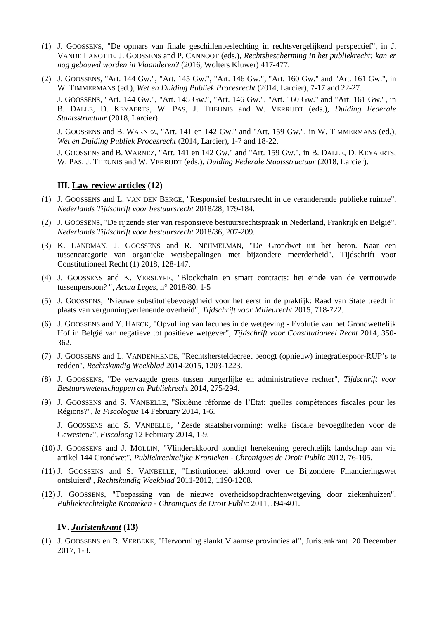- (1) J. GOOSSENS, "De opmars van finale geschillenbeslechting in rechtsvergelijkend perspectief", in J. VANDE LANOTTE, J. GOOSSENS and P. CANNOOT (eds.), *Rechtsbescherming in het publiekrecht: kan er nog gebouwd worden in Vlaanderen?* (2016, Wolters Kluwer) 417-477.
- (2) J. GOOSSENS, "Art. 144 Gw.", "Art. 145 Gw.", "Art. 146 Gw.", "Art. 160 Gw." and "Art. 161 Gw.", in W. TIMMERMANS (ed.), *Wet en Duiding Publiek Procesrecht* (2014, Larcier), 7-17 and 22-27.

J. GOOSSENS, "Art. 144 Gw.", "Art. 145 Gw.", "Art. 146 Gw.", "Art. 160 Gw." and "Art. 161 Gw.", in B. DALLE, D. KEYAERTS, W. PAS, J. THEUNIS and W. VERRIJDT (eds.), *Duiding Federale Staatsstructuur* (2018, Larcier).

J. GOOSSENS and B. WARNEZ, "Art. 141 en 142 Gw." and "Art. 159 Gw.", in W. TIMMERMANS (ed.), *Wet en Duiding Publiek Procesrecht* (2014, Larcier), 1-7 and 18-22.

J. GOOSSENS and B. WARNEZ, "Art. 141 en 142 Gw." and "Art. 159 Gw.", in B. DALLE, D. KEYAERTS, W. PAS, J. THEUNIS and W. VERRIJDT (eds.), *Duiding Federale Staatsstructuur* (2018, Larcier).

#### **III. Law review articles (12)**

- (1) J. GOOSSENS and L. VAN DEN BERGE, "Responsief bestuursrecht in de veranderende publieke ruimte", *Nederlands Tijdschrift voor bestuursrecht* 2018/28, 179-184.
- (2) J. GOOSSENS, "De rijzende ster van responsieve bestuursrechtspraak in Nederland, Frankrijk en België", *Nederlands Tijdschrift voor bestuursrecht* 2018/36, 207-209.
- (3) K. LANDMAN, J. GOOSSENS and R. NEHMELMAN, "De Grondwet uit het beton. Naar een tussencategorie van organieke wetsbepalingen met bijzondere meerderheid", Tijdschrift voor Constitutioneel Recht (1) 2018, 128-147.
- (4) J. GOOSSENS and K. VERSLYPE, "Blockchain en smart contracts: het einde van de vertrouwde tussenpersoon? ", *Actua Leges*, n° 2018/80, 1-5
- (5) J. GOOSSENS, "Nieuwe substitutiebevoegdheid voor het eerst in de praktijk: Raad van State treedt in plaats van vergunningverlenende overheid", *Tijdschrift voor Milieurecht* 2015, 718-722.
- (6) J. GOOSSENS and Y. HAECK, "Opvulling van lacunes in de wetgeving Evolutie van het Grondwettelijk Hof in België van negatieve tot positieve wetgever", *Tijdschrift voor Constitutioneel Recht* 2014, 350- 362.
- (7) J. GOOSSENS and L. VANDENHENDE, "Rechtshersteldecreet beoogt (opnieuw) integratiespoor-RUP's te redden", *Rechtskundig Weekblad* 2014-2015, 1203-1223.
- (8) J. GOOSSENS, "De vervaagde grens tussen burgerlijke en administratieve rechter", *Tijdschrift voor Bestuurswetenschappen en Publiekrecht* 2014, 275-294.
- (9) J. GOOSSENS and S. VANBELLE, "Sixième réforme de l'Etat: quelles compétences fiscales pour les Régions?", *le Fiscologue* 14 February 2014, 1-6.

J. GOOSSENS and S. VANBELLE, "Zesde staatshervorming: welke fiscale bevoegdheden voor de Gewesten?", *Fiscoloog* 12 February 2014, 1-9.

- (10) J. GOOSSENS and J. MOLLIN, "Vlinderakkoord kondigt hertekening gerechtelijk landschap aan via artikel 144 Grondwet", *Publiekrechtelijke Kronieken - Chroniques de Droit Public* 2012, 76-105.
- (11) J. GOOSSENS and S. VANBELLE, "Institutioneel akkoord over de Bijzondere Financieringswet ontsluierd", *Rechtskundig Weekblad* 2011-2012, 1190-1208.
- (12) J. GOOSSENS, "Toepassing van de nieuwe overheidsopdrachtenwetgeving door ziekenhuizen", *Publiekrechtelijke Kronieken - Chroniques de Droit Public* 2011, 394-401.

# **IV.** *Juristenkrant* **(13)**

(1) J. GOOSSENS en R. VERBEKE, "Hervorming slankt Vlaamse provincies af", Juristenkrant 20 December 2017, 1-3.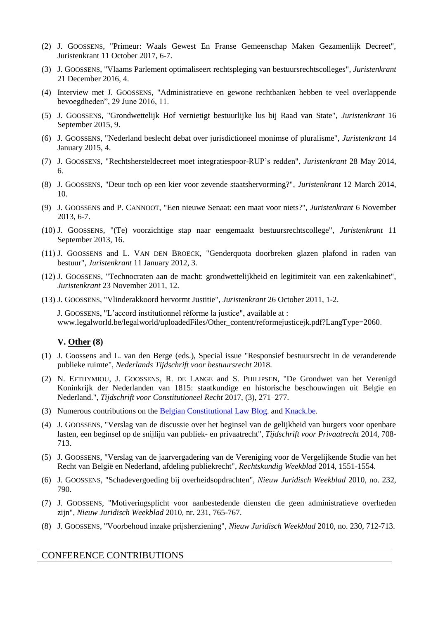- (2) J. GOOSSENS, "Primeur: Waals Gewest En Franse Gemeenschap Maken Gezamenlijk Decreet", Juristenkrant 11 October 2017, 6-7.
- (3) J. GOOSSENS, "Vlaams Parlement optimaliseert rechtspleging van bestuursrechtscolleges", *Juristenkrant* 21 December 2016, 4.
- (4) Interview met J. GOOSSENS, "Administratieve en gewone rechtbanken hebben te veel overlappende bevoegdheden", 29 June 2016, 11.
- (5) J. GOOSSENS, "Grondwettelijk Hof vernietigt bestuurlijke lus bij Raad van State", *Juristenkrant* 16 September 2015, 9.
- (6) J. GOOSSENS, "Nederland beslecht debat over jurisdictioneel monimse of pluralisme", *Juristenkrant* 14 January 2015, 4.
- (7) J. GOOSSENS, "Rechtshersteldecreet moet integratiespoor-RUP's redden", *Juristenkrant* 28 May 2014, 6.
- (8) J. GOOSSENS, "Deur toch op een kier voor zevende staatshervorming?", *Juristenkrant* 12 March 2014, 10.
- (9) J. GOOSSENS and P. CANNOOT, "Een nieuwe Senaat: een maat voor niets?", *Juristenkrant* 6 November 2013, 6-7.
- (10) J. GOOSSENS, "(Te) voorzichtige stap naar eengemaakt bestuursrechtscollege", *Juristenkrant* 11 September 2013, 16.
- (11) J. GOOSSENS and L. VAN DEN BROECK, "Genderquota doorbreken glazen plafond in raden van bestuur", *Juristenkrant* 11 January 2012, 3.
- (12) J. GOOSSENS, "Technocraten aan de macht: grondwettelijkheid en legitimiteit van een zakenkabinet", *Juristenkrant* 23 November 2011, 12.
- (13) J. GOOSSENS, "Vlinderakkoord hervormt Justitie", *Juristenkrant* 26 October 2011, 1-2.

J. GOOSSENS, "L'accord institutionnel réforme la justice", available at : www.legalworld.be/legalworld/uploadedFiles/Other\_content/reformejusticejk.pdf?LangType=2060.

#### **V. Other (8)**

- (1) J. Goossens and L. van den Berge (eds.), Special issue "Responsief bestuursrecht in de veranderende publieke ruimte", *Nederlands Tijdschrift voor bestuursrecht* 2018.
- (2) N. EFTHYMIOU, J. GOOSSENS, R. DE LANGE and S. PHILIPSEN, "De Grondwet van het Verenigd Koninkrijk der Nederlanden van 1815: staatkundige en historische beschouwingen uit Belgie en Nederland.", *Tijdschrift voor Constitutioneel Recht* 2017, (3), 271–277.
- (3) Numerous contributions on the [Belgian Constitutional Law Blog.](http://belgianconstitutionallawblog.com/) and [Knack.be.](http://www.knack.be/)
- (4) J. GOOSSENS, "Verslag van de discussie over het beginsel van de gelijkheid van burgers voor openbare lasten, een beginsel op de snijlijn van publiek- en privaatrecht", *Tijdschrift voor Privaatrecht* 2014, 708- 713.
- (5) J. GOOSSENS, "Verslag van de jaarvergadering van de Vereniging voor de Vergelijkende Studie van het Recht van België en Nederland, afdeling publiekrecht", *Rechtskundig Weekblad* 2014, 1551-1554.
- (6) J. GOOSSENS, "Schadevergoeding bij overheidsopdrachten", *Nieuw Juridisch Weekblad* 2010, no. 232, 790.
- (7) J. GOOSSENS, "Motiveringsplicht voor aanbestedende diensten die geen administratieve overheden zijn", *Nieuw Juridisch Weekblad* 2010, nr. 231, 765-767.
- (8) J. GOOSSENS, "Voorbehoud inzake prijsherziening", *Nieuw Juridisch Weekblad* 2010, no. 230, 712-713.

### CONFERENCE CONTRIBUTIONS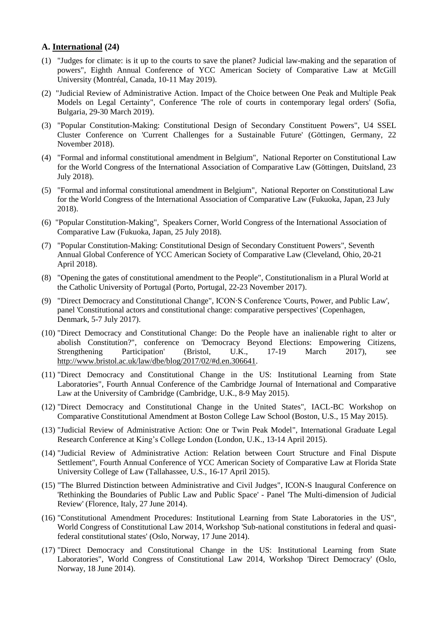# **A. International (24)**

- (1) "Judges for climate: is it up to the courts to save the planet? Judicial law-making and the separation of powers", Eighth Annual Conference of YCC American Society of Comparative Law at McGill University (Montréal, Canada, 10-11 May 2019).
- (2) "Judicial Review of Administrative Action. Impact of the Choice between One Peak and Multiple Peak Models on Legal Certainty", Conference 'The role of courts in contemporary legal orders' (Sofia, Bulgaria, 29-30 March 2019).
- (3) "Popular Constitution-Making: Constitutional Design of Secondary Constituent Powers", U4 SSEL Cluster Conference on 'Current Challenges for a Sustainable Future' (Göttingen, Germany, 22 November 2018).
- (4) "Formal and informal constitutional amendment in Belgium", National Reporter on Constitutional Law for the World Congress of the International Association of Comparative Law (Göttingen, Duitsland, 23 July 2018).
- (5) "Formal and informal constitutional amendment in Belgium", National Reporter on Constitutional Law for the World Congress of the International Association of Comparative Law (Fukuoka, Japan, 23 July 2018).
- (6) "Popular Constitution-Making", Speakers Corner, World Congress of the International Association of Comparative Law (Fukuoka, Japan, 25 July 2018).
- (7) "Popular Constitution-Making: Constitutional Design of Secondary Constituent Powers", Seventh Annual Global Conference of YCC American Society of Comparative Law (Cleveland, Ohio, 20-21 April 2018).
- (8) "Opening the gates of constitutional amendment to the People", Constitutionalism in a Plural World at the Catholic University of Portugal (Porto, Portugal, 22-23 November 2017).
- (9) "Direct Democracy and Constitutional Change", ICON∙S Conference 'Courts, Power, and Public Law', panel 'Constitutional actors and constitutional change: comparative perspectives' (Copenhagen, Denmark, 5-7 July 2017).
- (10) "Direct Democracy and Constitutional Change: Do the People have an inalienable right to alter or abolish Constitution?", conference on 'Democracy Beyond Elections: Empowering Citizens,<br>Strengthening Participation' (Bristol, U.K., 17-19 March 2017), see Strengthening Participation' (Bristol, U.K., 17-19 March 2017), see [http://www.bristol.ac.uk/law/dbe/blog/2017/02/#d.en.306641.](http://www.bristol.ac.uk/law/dbe/blog/2017/02/#d.en.306641)
- (11) "Direct Democracy and Constitutional Change in the US: Institutional Learning from State Laboratories", Fourth Annual Conference of the Cambridge Journal of International and Comparative Law at the University of Cambridge (Cambridge, U.K., 8-9 May 2015).
- (12) "Direct Democracy and Constitutional Change in the United States", IACL-BC Workshop on Comparative Constitutional Amendment at Boston College Law School (Boston, U.S., 15 May 2015).
- (13) "Judicial Review of Administrative Action: One or Twin Peak Model", International Graduate Legal Research Conference at King's College London (London, U.K., 13-14 April 2015).
- (14) "Judicial Review of Administrative Action: Relation between Court Structure and Final Dispute Settlement", Fourth Annual Conference of YCC American Society of Comparative Law at Florida State University College of Law (Tallahassee, U.S., 16-17 April 2015).
- (15) "The Blurred Distinction between Administrative and Civil Judges", ICON-S Inaugural Conference on 'Rethinking the Boundaries of Public Law and Public Space' - Panel 'The Multi-dimension of Judicial Review' (Florence, Italy, 27 June 2014).
- (16) "Constitutional Amendment Procedures: Institutional Learning from State Laboratories in the US", World Congress of Constitutional Law 2014, Workshop 'Sub-national constitutions in federal and quasifederal constitutional states' (Oslo, Norway, 17 June 2014).
- (17) "Direct Democracy and Constitutional Change in the US: Institutional Learning from State Laboratories", World Congress of Constitutional Law 2014, Workshop 'Direct Democracy' (Oslo, Norway, 18 June 2014).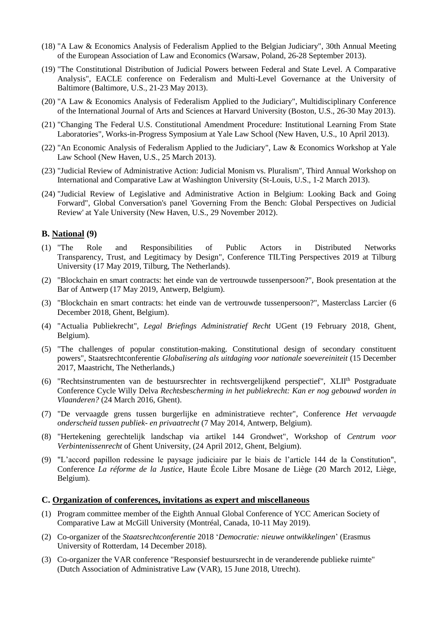- (18) "A Law & Economics Analysis of Federalism Applied to the Belgian Judiciary", 30th Annual Meeting of the European Association of Law and Economics (Warsaw, Poland, 26-28 September 2013).
- (19) "The Constitutional Distribution of Judicial Powers between Federal and State Level. A Comparative Analysis", EACLE conference on Federalism and Multi-Level Governance at the University of Baltimore (Baltimore, U.S., 21-23 May 2013).
- (20) "A Law & Economics Analysis of Federalism Applied to the Judiciary", Multidisciplinary Conference of the International Journal of Arts and Sciences at Harvard University (Boston, U.S., 26-30 May 2013).
- (21) "Changing The Federal U.S. Constitutional Amendment Procedure: Institutional Learning From State Laboratories", Works-in-Progress Symposium at Yale Law School (New Haven, U.S., 10 April 2013).
- (22) "An Economic Analysis of Federalism Applied to the Judiciary", Law & Economics Workshop at Yale Law School (New Haven, U.S., 25 March 2013).
- (23) "Judicial Review of Administrative Action: Judicial Monism vs. Pluralism", Third Annual Workshop on International and Comparative Law at Washington University (St-Louis, U.S., 1-2 March 2013).
- (24) "Judicial Review of Legislative and Administrative Action in Belgium: Looking Back and Going Forward", Global Conversation's panel 'Governing From the Bench: Global Perspectives on Judicial Review' at Yale University (New Haven, U.S., 29 November 2012).

#### **B. National (9)**

- (1) "The Role and Responsibilities of Public Actors in Distributed Networks Transparency, Trust, and Legitimacy by Design", Conference TILTing Perspectives 2019 at Tilburg University (17 May 2019, Tilburg, The Netherlands).
- (2) "Blockchain en smart contracts: het einde van de vertrouwde tussenpersoon?", Book presentation at the Bar of Antwerp (17 May 2019, Antwerp, Belgium).
- (3) "Blockchain en smart contracts: het einde van de vertrouwde tussenpersoon?", Masterclass Larcier (6 December 2018, Ghent, Belgium).
- (4) "Actualia Publiekrecht", *Legal Briefings Administratief Recht* UGent (19 February 2018, Ghent, Belgium).
- (5) "The challenges of popular constitution-making. Constitutional design of secondary constituent powers", Staatsrechtconferentie *Globalisering als uitdaging voor nationale soevereiniteit* (15 December 2017, Maastricht, The Netherlands,)
- (6) "Rechtsinstrumenten van de bestuursrechter in rechtsvergelijkend perspectief", XLIIth Postgraduate Conference Cycle Willy Delva *Rechtsbescherming in het publiekrecht: Kan er nog gebouwd worden in Vlaanderen?* (24 March 2016, Ghent).
- (7) "De vervaagde grens tussen burgerlijke en administratieve rechter", Conference *Het vervaagde onderscheid tussen publiek- en privaatrecht* (7 May 2014, Antwerp, Belgium).
- (8) "Hertekening gerechtelijk landschap via artikel 144 Grondwet", Workshop of *Centrum voor Verbintenissenrecht* of Ghent University, (24 April 2012, Ghent, Belgium).
- (9) "L'accord papillon redessine le paysage judiciaire par le biais de l'article 144 de la Constitution", Conference *La réforme de la Justice*, Haute École Libre Mosane de Liège (20 March 2012, Liège, Belgium).

#### **C. Organization of conferences, invitations as expert and miscellaneous**

- (1) Program committee member of the Eighth Annual Global Conference of YCC American Society of Comparative Law at McGill University (Montréal, Canada, 10-11 May 2019).
- (2) Co-organizer of the *Staatsrechtconferentie* 2018 '*Democratie: nieuwe ontwikkelingen*' (Erasmus University of Rotterdam, 14 December 2018).
- (3) Co-organizer the VAR conference "Responsief bestuursrecht in de veranderende publieke ruimte" (Dutch Association of Administrative Law (VAR), 15 June 2018, Utrecht).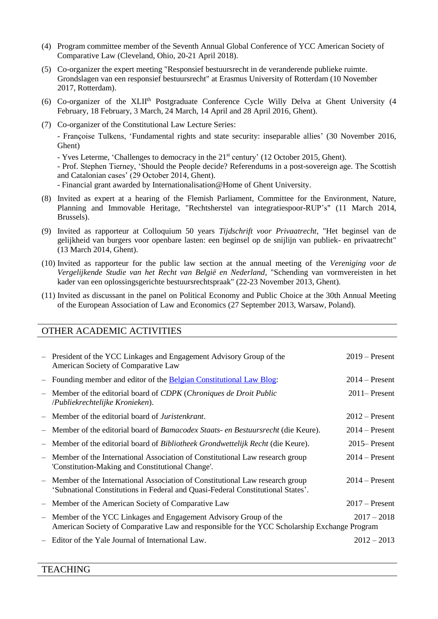- (4) Program committee member of the Seventh Annual Global Conference of YCC American Society of Comparative Law (Cleveland, Ohio, 20-21 April 2018).
- (5) Co-organizer the expert meeting "Responsief bestuursrecht in de veranderende publieke ruimte. Grondslagen van een responsief bestuursrecht" at Erasmus University of Rotterdam (10 November 2017, Rotterdam).
- (6) Co-organizer of the XLII<sup>th</sup> Postgraduate Conference Cycle Willy Delva at Ghent University (4) February, 18 February, 3 March, 24 March, 14 April and 28 April 2016, Ghent).
- (7) Co-organizer of the Constitutional Law Lecture Series:

OTHER ACADEMIC ACTIVITIES

- Françoise Tulkens, 'Fundamental rights and state security: inseparable allies' (30 November 2016, Ghent)

- Yves Leterme, 'Challenges to democracy in the 21<sup>st</sup> century' (12 October 2015, Ghent).

- Prof. Stephen Tierney, 'Should the People decide? Referendums in a post-sovereign age. The Scottish and Catalonian cases' (29 October 2014, Ghent).

- Financial grant awarded by Internationalisation@Home of Ghent University.

- (8) Invited as expert at a hearing of the Flemish Parliament, Committee for the Environment, Nature, Planning and Immovable Heritage, "Rechtsherstel van integratiespoor-RUP's" (11 March 2014, Brussels).
- (9) Invited as rapporteur at Colloquium 50 years *Tijdschrift voor Privaatrecht*, "Het beginsel van de gelijkheid van burgers voor openbare lasten: een beginsel op de snijlijn van publiek- en privaatrecht" (13 March 2014, Ghent).
- (10) Invited as rapporteur for the public law section at the annual meeting of the *Vereniging voor de Vergelijkende Studie van het Recht van België en Nederland*, "Schending van vormvereisten in het kader van een oplossingsgerichte bestuursrechtspraak" (22-23 November 2013, Ghent).
- (11) Invited as discussant in the panel on Political Economy and Public Choice at the 30th Annual Meeting of the European Association of Law and Economics (27 September 2013, Warsaw, Poland).

|                          | - President of the YCC Linkages and Engagement Advisory Group of the<br>American Society of Comparative Law                                                       | $2019$ – Present |
|--------------------------|-------------------------------------------------------------------------------------------------------------------------------------------------------------------|------------------|
| $\overline{\phantom{m}}$ | Founding member and editor of the <u>Belgian Constitutional Law Blog</u> :                                                                                        | $2014 -$ Present |
| $\overline{\phantom{m}}$ | Member of the editorial board of CDPK (Chroniques de Droit Public<br>/Publiekrechtelijke Kronieken).                                                              | $2011 -$ Present |
|                          | Member of the editorial board of Juristenkrant.                                                                                                                   | $2012$ – Present |
|                          | Member of the editorial board of <i>Bamacodex Staats- en Bestuursrecht</i> (die Keure).                                                                           | $2014 -$ Present |
|                          | Member of the editorial board of <i>Bibliotheek Grondwettelijk Recht</i> (die Keure).                                                                             | $2015$ – Present |
| $\overline{\phantom{0}}$ | Member of the International Association of Constitutional Law research group<br>'Constitution-Making and Constitutional Change'.                                  | $2014 -$ Present |
|                          | Member of the International Association of Constitutional Law research group<br>'Subnational Constitutions in Federal and Quasi-Federal Constitutional States'.   | $2014 -$ Present |
|                          | Member of the American Society of Comparative Law                                                                                                                 | $2017$ – Present |
|                          | - Member of the YCC Linkages and Engagement Advisory Group of the<br>American Society of Comparative Law and responsible for the YCC Scholarship Exchange Program | $2017 - 2018$    |
|                          | Editor of the Yale Journal of International Law.                                                                                                                  | $2012 - 2013$    |

# TEACHING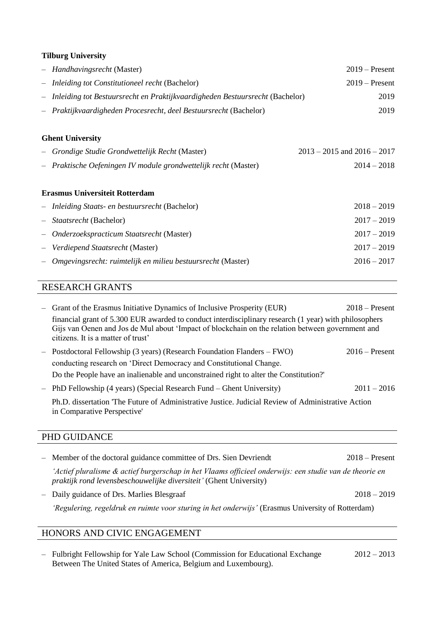# **Tilburg University**

| - Handhavingsrecht (Master)                                                                                                                                                                                                                                                                                                                   | $2019 - Present$                |  |  |
|-----------------------------------------------------------------------------------------------------------------------------------------------------------------------------------------------------------------------------------------------------------------------------------------------------------------------------------------------|---------------------------------|--|--|
| Inleiding tot Constitutioneel recht (Bachelor)                                                                                                                                                                                                                                                                                                | $2019$ – Present                |  |  |
| Inleiding tot Bestuursrecht en Praktijkvaardigheden Bestuursrecht (Bachelor)                                                                                                                                                                                                                                                                  | 2019                            |  |  |
| Praktijkvaardigheden Procesrecht, deel Bestuursrecht (Bachelor)                                                                                                                                                                                                                                                                               | 2019                            |  |  |
|                                                                                                                                                                                                                                                                                                                                               |                                 |  |  |
| <b>Ghent University</b>                                                                                                                                                                                                                                                                                                                       |                                 |  |  |
| Grondige Studie Grondwettelijk Recht (Master)                                                                                                                                                                                                                                                                                                 | $2013 - 2015$ and $2016 - 2017$ |  |  |
| Praktische Oefeningen IV module grondwettelijk recht (Master)                                                                                                                                                                                                                                                                                 | $2014 - 2018$                   |  |  |
| <b>Erasmus Universiteit Rotterdam</b>                                                                                                                                                                                                                                                                                                         |                                 |  |  |
| Inleiding Staats- en bestuursrecht (Bachelor)                                                                                                                                                                                                                                                                                                 | $2018 - 2019$                   |  |  |
| Staatsrecht (Bachelor)                                                                                                                                                                                                                                                                                                                        | $2017 - 2019$                   |  |  |
| Onderzoekspracticum Staatsrecht (Master)                                                                                                                                                                                                                                                                                                      | $2017 - 2019$                   |  |  |
| Verdiepend Staatsrecht (Master)                                                                                                                                                                                                                                                                                                               | $2017 - 2019$                   |  |  |
| Omgevingsrecht: ruimtelijk en milieu bestuursrecht (Master)                                                                                                                                                                                                                                                                                   | $2016 - 2017$                   |  |  |
|                                                                                                                                                                                                                                                                                                                                               |                                 |  |  |
| <b>RESEARCH GRANTS</b>                                                                                                                                                                                                                                                                                                                        |                                 |  |  |
| Grant of the Erasmus Initiative Dynamics of Inclusive Prosperity (EUR)<br>$2018 -$ Present<br>financial grant of 5.300 EUR awarded to conduct interdisciplinary research (1 year) with philosophers<br>Gijs van Oenen and Jos de Mul about 'Impact of blockchain on the relation between government and<br>citizens. It is a matter of trust' |                                 |  |  |
| Postdoctoral Fellowship (3 years) (Research Foundation Flanders – FWO)                                                                                                                                                                                                                                                                        | $2016$ – Present                |  |  |
| conducting research on 'Direct Democracy and Constitutional Change.                                                                                                                                                                                                                                                                           |                                 |  |  |
| Do the People have an inalienable and unconstrained right to alter the Constitution?'                                                                                                                                                                                                                                                         |                                 |  |  |
| - PhD Fellowship (4 years) (Special Research Fund - Ghent University)                                                                                                                                                                                                                                                                         | $2011 - 2016$                   |  |  |
| Ph.D. dissertation 'The Future of Administrative Justice. Judicial Review of Administrative Action<br>in Comparative Perspective'                                                                                                                                                                                                             |                                 |  |  |
| PHD GUIDANCE                                                                                                                                                                                                                                                                                                                                  |                                 |  |  |
| Member of the doctoral guidance committee of Drs. Sien Devriendt<br>$\qquad \qquad -$                                                                                                                                                                                                                                                         | $2018 -$ Present                |  |  |
| 'Actief pluralisme & actief burgerschap in het Vlaams officieel onderwijs: een studie van de theorie en<br>praktijk rond levensbeschouwelijke diversiteit' (Ghent University)                                                                                                                                                                 |                                 |  |  |
| Daily guidance of Drs. Marlies Blesgraaf                                                                                                                                                                                                                                                                                                      | $2018 - 2019$                   |  |  |
| 'Regulering, regeldruk en ruimte voor sturing in het onderwijs' (Erasmus University of Rotterdam)                                                                                                                                                                                                                                             |                                 |  |  |
|                                                                                                                                                                                                                                                                                                                                               |                                 |  |  |
| HONORS AND CIVIC ENGAGEMENT                                                                                                                                                                                                                                                                                                                   |                                 |  |  |

– Fulbright Fellowship for Yale Law School (Commission for Educational Exchange 2012 – 2013 Between The United States of America, Belgium and Luxembourg).